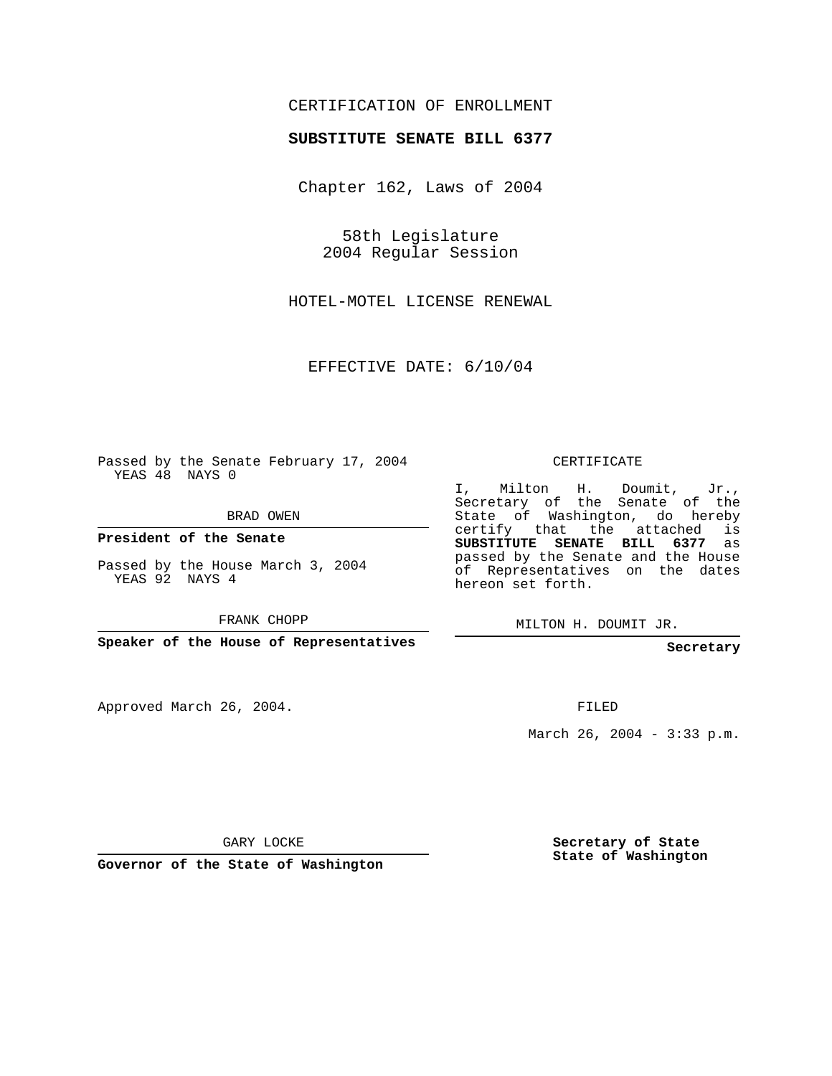## CERTIFICATION OF ENROLLMENT

## **SUBSTITUTE SENATE BILL 6377**

Chapter 162, Laws of 2004

58th Legislature 2004 Regular Session

HOTEL-MOTEL LICENSE RENEWAL

EFFECTIVE DATE: 6/10/04

Passed by the Senate February 17, 2004 YEAS 48 NAYS 0

BRAD OWEN

**President of the Senate**

Passed by the House March 3, 2004 YEAS 92 NAYS 4

FRANK CHOPP

**Speaker of the House of Representatives**

Approved March 26, 2004.

CERTIFICATE

I, Milton H. Doumit, Jr., Secretary of the Senate of the State of Washington, do hereby certify that the attached is **SUBSTITUTE SENATE BILL 6377** as passed by the Senate and the House of Representatives on the dates hereon set forth.

MILTON H. DOUMIT JR.

**Secretary**

FILED

March 26, 2004 - 3:33 p.m.

GARY LOCKE

**Governor of the State of Washington**

**Secretary of State State of Washington**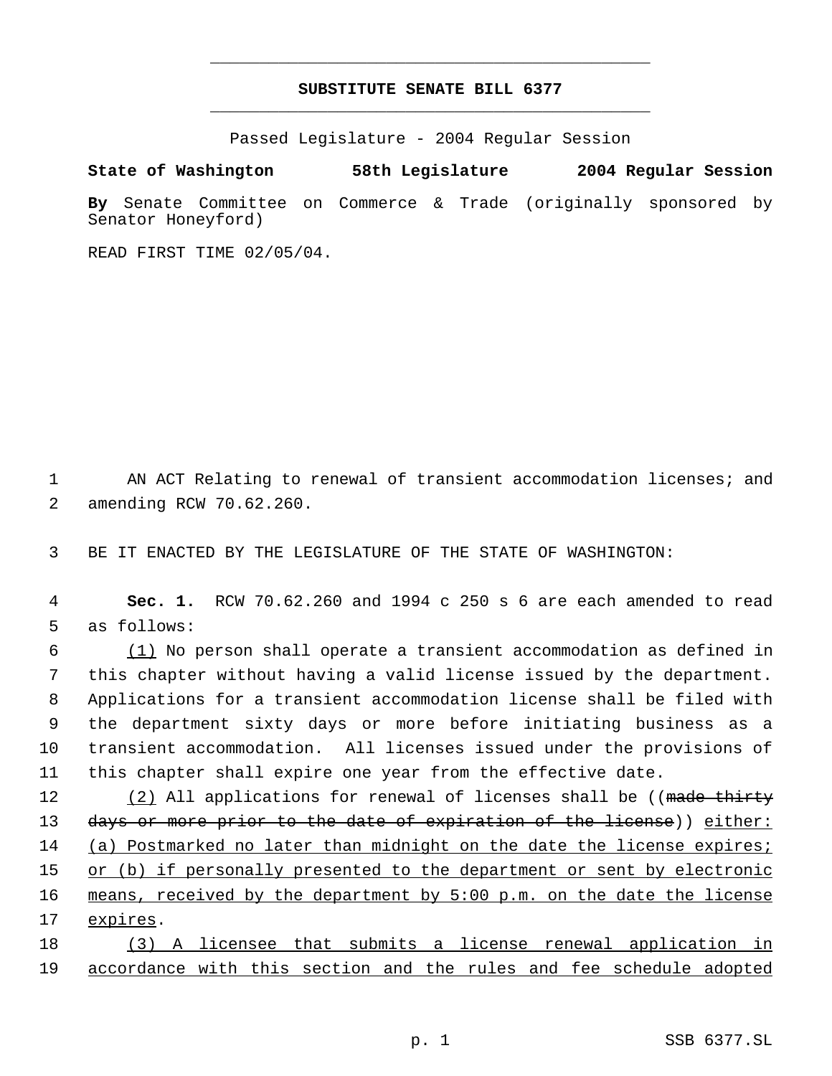## **SUBSTITUTE SENATE BILL 6377** \_\_\_\_\_\_\_\_\_\_\_\_\_\_\_\_\_\_\_\_\_\_\_\_\_\_\_\_\_\_\_\_\_\_\_\_\_\_\_\_\_\_\_\_\_

\_\_\_\_\_\_\_\_\_\_\_\_\_\_\_\_\_\_\_\_\_\_\_\_\_\_\_\_\_\_\_\_\_\_\_\_\_\_\_\_\_\_\_\_\_

Passed Legislature - 2004 Regular Session

**State of Washington 58th Legislature 2004 Regular Session By** Senate Committee on Commerce & Trade (originally sponsored by Senator Honeyford)

READ FIRST TIME 02/05/04.

 AN ACT Relating to renewal of transient accommodation licenses; and amending RCW 70.62.260.

BE IT ENACTED BY THE LEGISLATURE OF THE STATE OF WASHINGTON:

 **Sec. 1.** RCW 70.62.260 and 1994 c 250 s 6 are each amended to read as follows:

 (1) No person shall operate a transient accommodation as defined in this chapter without having a valid license issued by the department. Applications for a transient accommodation license shall be filed with the department sixty days or more before initiating business as a transient accommodation. All licenses issued under the provisions of this chapter shall expire one year from the effective date.

12 (2) All applications for renewal of licenses shall be ((made thirty 13 days or more prior to the date of expiration of the license)) either: (a) Postmarked no later than midnight on the date the license expires; or (b) if personally presented to the department or sent by electronic means, received by the department by 5:00 p.m. on the date the license expires.

 (3) A licensee that submits a license renewal application in accordance with this section and the rules and fee schedule adopted